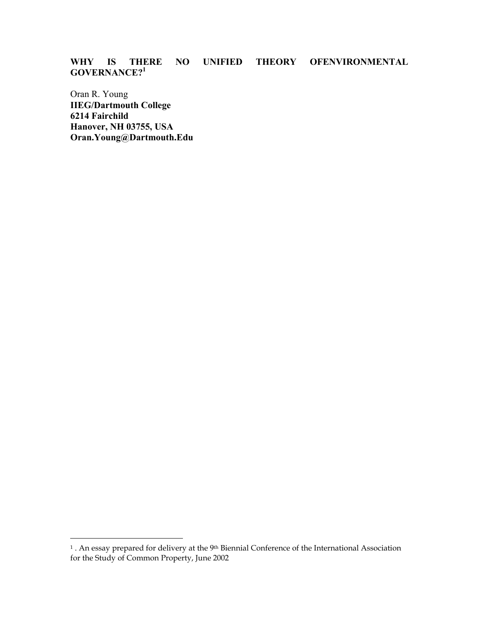**WHY IS THERE NO UNIFIED THEORY OFENVIRONMENTAL GOVERNANCE?[1](#page-0-0)**

Oran R. Young **IIEG/Dartmouth College 6214 Fairchild Hanover, NH 03755, USA Oran.Young@Dartmouth.Edu** 

 $\overline{a}$ 

<span id="page-0-0"></span> $1$ . An essay prepared for delivery at the 9<sup>th</sup> Biennial Conference of the International Association for the Study of Common Property, June 2002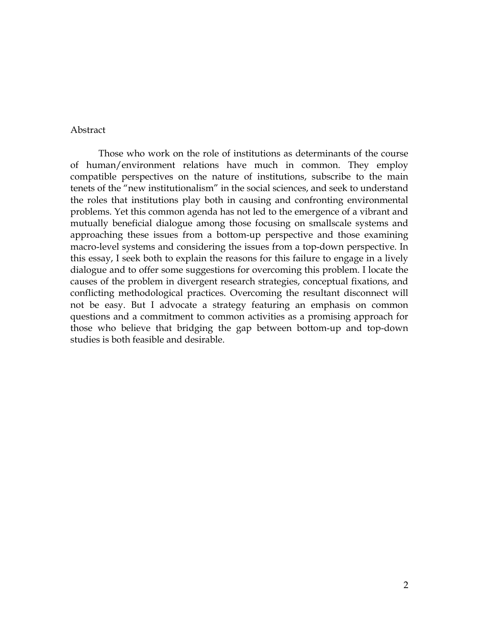#### Abstract

Those who work on the role of institutions as determinants of the course of human/environment relations have much in common. They employ compatible perspectives on the nature of institutions, subscribe to the main tenets of the "new institutionalism" in the social sciences, and seek to understand the roles that institutions play both in causing and confronting environmental problems. Yet this common agenda has not led to the emergence of a vibrant and mutually beneficial dialogue among those focusing on smallscale systems and approaching these issues from a bottom-up perspective and those examining macro-level systems and considering the issues from a top-down perspective. In this essay, I seek both to explain the reasons for this failure to engage in a lively dialogue and to offer some suggestions for overcoming this problem. I locate the causes of the problem in divergent research strategies, conceptual fixations, and conflicting methodological practices. Overcoming the resultant disconnect will not be easy. But I advocate a strategy featuring an emphasis on common questions and a commitment to common activities as a promising approach for those who believe that bridging the gap between bottom-up and top-down studies is both feasible and desirable.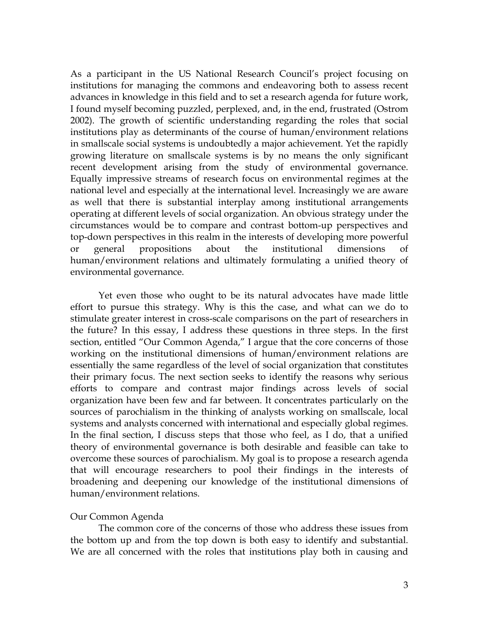As a participant in the US National Research Council's project focusing on institutions for managing the commons and endeavoring both to assess recent advances in knowledge in this field and to set a research agenda for future work, I found myself becoming puzzled, perplexed, and, in the end, frustrated (Ostrom 2002). The growth of scientific understanding regarding the roles that social institutions play as determinants of the course of human/environment relations in smallscale social systems is undoubtedly a major achievement. Yet the rapidly growing literature on smallscale systems is by no means the only significant recent development arising from the study of environmental governance. Equally impressive streams of research focus on environmental regimes at the national level and especially at the international level. Increasingly we are aware as well that there is substantial interplay among institutional arrangements operating at different levels of social organization. An obvious strategy under the circumstances would be to compare and contrast bottom-up perspectives and top-down perspectives in this realm in the interests of developing more powerful or general propositions about the institutional dimensions of human/environment relations and ultimately formulating a unified theory of environmental governance.

Yet even those who ought to be its natural advocates have made little effort to pursue this strategy. Why is this the case, and what can we do to stimulate greater interest in cross-scale comparisons on the part of researchers in the future? In this essay, I address these questions in three steps. In the first section, entitled "Our Common Agenda," I argue that the core concerns of those working on the institutional dimensions of human/environment relations are essentially the same regardless of the level of social organization that constitutes their primary focus. The next section seeks to identify the reasons why serious efforts to compare and contrast major findings across levels of social organization have been few and far between. It concentrates particularly on the sources of parochialism in the thinking of analysts working on smallscale, local systems and analysts concerned with international and especially global regimes. In the final section, I discuss steps that those who feel, as I do, that a unified theory of environmental governance is both desirable and feasible can take to overcome these sources of parochialism. My goal is to propose a research agenda that will encourage researchers to pool their findings in the interests of broadening and deepening our knowledge of the institutional dimensions of human/environment relations.

## Our Common Agenda

The common core of the concerns of those who address these issues from the bottom up and from the top down is both easy to identify and substantial. We are all concerned with the roles that institutions play both in causing and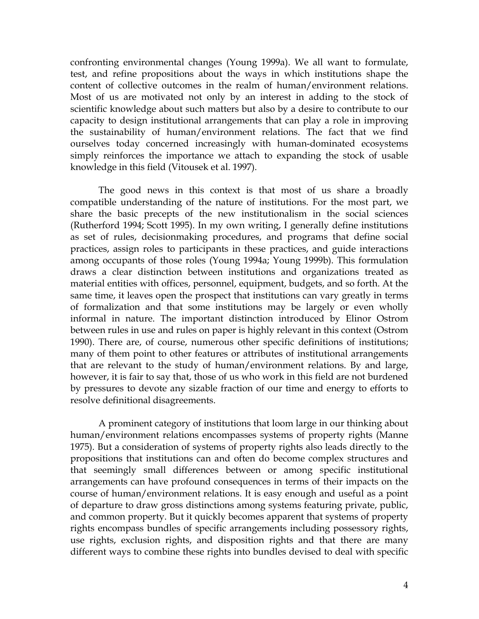confronting environmental changes (Young 1999a). We all want to formulate, test, and refine propositions about the ways in which institutions shape the content of collective outcomes in the realm of human/environment relations. Most of us are motivated not only by an interest in adding to the stock of scientific knowledge about such matters but also by a desire to contribute to our capacity to design institutional arrangements that can play a role in improving the sustainability of human/environment relations. The fact that we find ourselves today concerned increasingly with human-dominated ecosystems simply reinforces the importance we attach to expanding the stock of usable knowledge in this field (Vitousek et al. 1997).

The good news in this context is that most of us share a broadly compatible understanding of the nature of institutions. For the most part, we share the basic precepts of the new institutionalism in the social sciences (Rutherford 1994; Scott 1995). In my own writing, I generally define institutions as set of rules, decisionmaking procedures, and programs that define social practices, assign roles to participants in these practices, and guide interactions among occupants of those roles (Young 1994a; Young 1999b). This formulation draws a clear distinction between institutions and organizations treated as material entities with offices, personnel, equipment, budgets, and so forth. At the same time, it leaves open the prospect that institutions can vary greatly in terms of formalization and that some institutions may be largely or even wholly informal in nature. The important distinction introduced by Elinor Ostrom between rules in use and rules on paper is highly relevant in this context (Ostrom 1990). There are, of course, numerous other specific definitions of institutions; many of them point to other features or attributes of institutional arrangements that are relevant to the study of human/environment relations. By and large, however, it is fair to say that, those of us who work in this field are not burdened by pressures to devote any sizable fraction of our time and energy to efforts to resolve definitional disagreements.

A prominent category of institutions that loom large in our thinking about human/environment relations encompasses systems of property rights (Manne 1975). But a consideration of systems of property rights also leads directly to the propositions that institutions can and often do become complex structures and that seemingly small differences between or among specific institutional arrangements can have profound consequences in terms of their impacts on the course of human/environment relations. It is easy enough and useful as a point of departure to draw gross distinctions among systems featuring private, public, and common property. But it quickly becomes apparent that systems of property rights encompass bundles of specific arrangements including possessory rights, use rights, exclusion rights, and disposition rights and that there are many different ways to combine these rights into bundles devised to deal with specific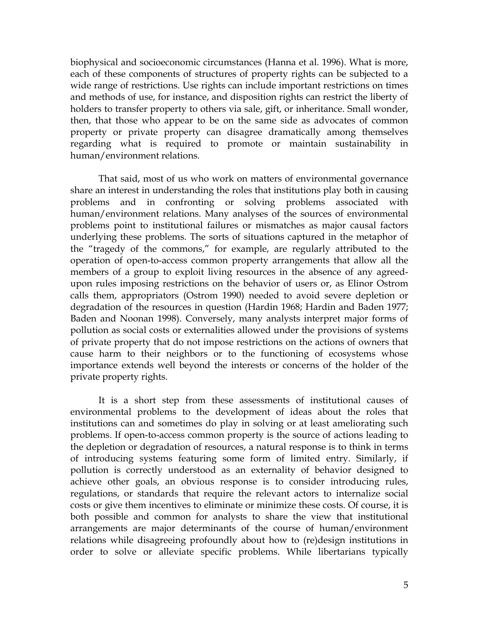biophysical and socioeconomic circumstances (Hanna et al. 1996). What is more, each of these components of structures of property rights can be subjected to a wide range of restrictions. Use rights can include important restrictions on times and methods of use, for instance, and disposition rights can restrict the liberty of holders to transfer property to others via sale, gift, or inheritance. Small wonder, then, that those who appear to be on the same side as advocates of common property or private property can disagree dramatically among themselves regarding what is required to promote or maintain sustainability in human/environment relations.

That said, most of us who work on matters of environmental governance share an interest in understanding the roles that institutions play both in causing problems and in confronting or solving problems associated with human/environment relations. Many analyses of the sources of environmental problems point to institutional failures or mismatches as major causal factors underlying these problems. The sorts of situations captured in the metaphor of the "tragedy of the commons," for example, are regularly attributed to the operation of open-to-access common property arrangements that allow all the members of a group to exploit living resources in the absence of any agreedupon rules imposing restrictions on the behavior of users or, as Elinor Ostrom calls them, appropriators (Ostrom 1990) needed to avoid severe depletion or degradation of the resources in question (Hardin 1968; Hardin and Baden 1977; Baden and Noonan 1998). Conversely, many analysts interpret major forms of pollution as social costs or externalities allowed under the provisions of systems of private property that do not impose restrictions on the actions of owners that cause harm to their neighbors or to the functioning of ecosystems whose importance extends well beyond the interests or concerns of the holder of the private property rights.

It is a short step from these assessments of institutional causes of environmental problems to the development of ideas about the roles that institutions can and sometimes do play in solving or at least ameliorating such problems. If open-to-access common property is the source of actions leading to the depletion or degradation of resources, a natural response is to think in terms of introducing systems featuring some form of limited entry. Similarly, if pollution is correctly understood as an externality of behavior designed to achieve other goals, an obvious response is to consider introducing rules, regulations, or standards that require the relevant actors to internalize social costs or give them incentives to eliminate or minimize these costs. Of course, it is both possible and common for analysts to share the view that institutional arrangements are major determinants of the course of human/environment relations while disagreeing profoundly about how to (re)design institutions in order to solve or alleviate specific problems. While libertarians typically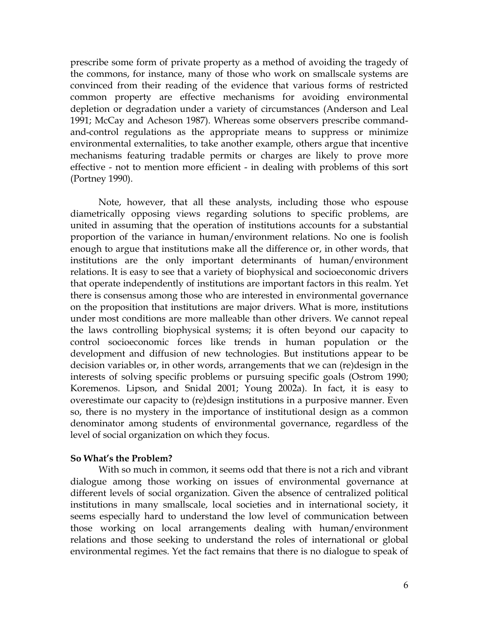prescribe some form of private property as a method of avoiding the tragedy of the commons, for instance, many of those who work on smallscale systems are convinced from their reading of the evidence that various forms of restricted common property are effective mechanisms for avoiding environmental depletion or degradation under a variety of circumstances (Anderson and Leal 1991; McCay and Acheson 1987). Whereas some observers prescribe commandand-control regulations as the appropriate means to suppress or minimize environmental externalities, to take another example, others argue that incentive mechanisms featuring tradable permits or charges are likely to prove more effective - not to mention more efficient - in dealing with problems of this sort (Portney 1990).

Note, however, that all these analysts, including those who espouse diametrically opposing views regarding solutions to specific problems, are united in assuming that the operation of institutions accounts for a substantial proportion of the variance in human/environment relations. No one is foolish enough to argue that institutions make all the difference or, in other words, that institutions are the only important determinants of human/environment relations. It is easy to see that a variety of biophysical and socioeconomic drivers that operate independently of institutions are important factors in this realm. Yet there is consensus among those who are interested in environmental governance on the proposition that institutions are major drivers. What is more, institutions under most conditions are more malleable than other drivers. We cannot repeal the laws controlling biophysical systems; it is often beyond our capacity to control socioeconomic forces like trends in human population or the development and diffusion of new technologies. But institutions appear to be decision variables or, in other words, arrangements that we can (re)design in the interests of solving specific problems or pursuing specific goals (Ostrom 1990; Koremenos. Lipson, and Snidal 2001; Young 2002a). In fact, it is easy to overestimate our capacity to (re)design institutions in a purposive manner. Even so, there is no mystery in the importance of institutional design as a common denominator among students of environmental governance, regardless of the level of social organization on which they focus.

## **So What's the Problem?**

With so much in common, it seems odd that there is not a rich and vibrant dialogue among those working on issues of environmental governance at different levels of social organization. Given the absence of centralized political institutions in many smallscale, local societies and in international society, it seems especially hard to understand the low level of communication between those working on local arrangements dealing with human/environment relations and those seeking to understand the roles of international or global environmental regimes. Yet the fact remains that there is no dialogue to speak of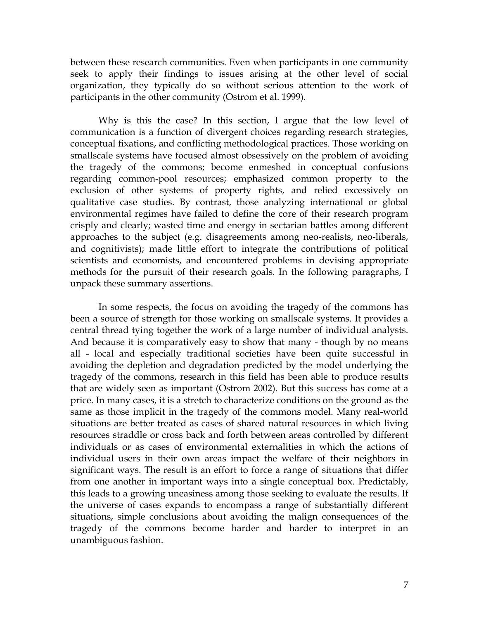between these research communities. Even when participants in one community seek to apply their findings to issues arising at the other level of social organization, they typically do so without serious attention to the work of participants in the other community (Ostrom et al. 1999).

Why is this the case? In this section, I argue that the low level of communication is a function of divergent choices regarding research strategies, conceptual fixations, and conflicting methodological practices. Those working on smallscale systems have focused almost obsessively on the problem of avoiding the tragedy of the commons; become enmeshed in conceptual confusions regarding common-pool resources; emphasized common property to the exclusion of other systems of property rights, and relied excessively on qualitative case studies. By contrast, those analyzing international or global environmental regimes have failed to define the core of their research program crisply and clearly; wasted time and energy in sectarian battles among different approaches to the subject (e.g. disagreements among neo-realists, neo-liberals, and cognitivists); made little effort to integrate the contributions of political scientists and economists, and encountered problems in devising appropriate methods for the pursuit of their research goals. In the following paragraphs, I unpack these summary assertions.

In some respects, the focus on avoiding the tragedy of the commons has been a source of strength for those working on smallscale systems. It provides a central thread tying together the work of a large number of individual analysts. And because it is comparatively easy to show that many - though by no means all - local and especially traditional societies have been quite successful in avoiding the depletion and degradation predicted by the model underlying the tragedy of the commons, research in this field has been able to produce results that are widely seen as important (Ostrom 2002). But this success has come at a price. In many cases, it is a stretch to characterize conditions on the ground as the same as those implicit in the tragedy of the commons model. Many real-world situations are better treated as cases of shared natural resources in which living resources straddle or cross back and forth between areas controlled by different individuals or as cases of environmental externalities in which the actions of individual users in their own areas impact the welfare of their neighbors in significant ways. The result is an effort to force a range of situations that differ from one another in important ways into a single conceptual box. Predictably, this leads to a growing uneasiness among those seeking to evaluate the results. If the universe of cases expands to encompass a range of substantially different situations, simple conclusions about avoiding the malign consequences of the tragedy of the commons become harder and harder to interpret in an unambiguous fashion.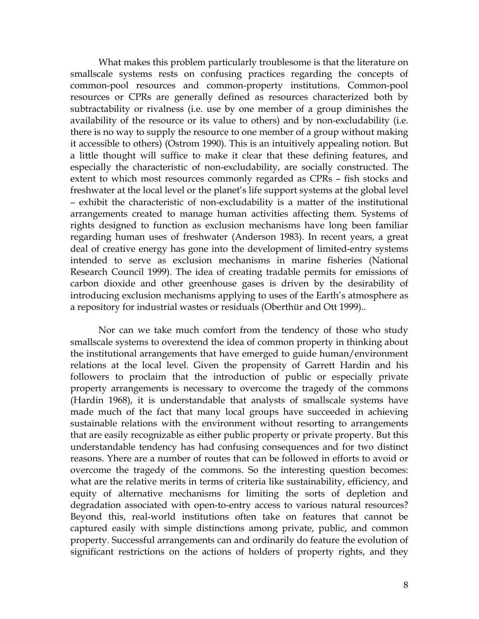What makes this problem particularly troublesome is that the literature on smallscale systems rests on confusing practices regarding the concepts of common-pool resources and common-property institutions. Common-pool resources or CPRs are generally defined as resources characterized both by subtractability or rivalness (i.e. use by one member of a group diminishes the availability of the resource or its value to others) and by non-excludability (i.e. there is no way to supply the resource to one member of a group without making it accessible to others) (Ostrom 1990). This is an intuitively appealing notion. But a little thought will suffice to make it clear that these defining features, and especially the characteristic of non-excludability, are socially constructed. The extent to which most resources commonly regarded as CPRs – fish stocks and freshwater at the local level or the planet's life support systems at the global level – exhibit the characteristic of non-excludability is a matter of the institutional arrangements created to manage human activities affecting them. Systems of rights designed to function as exclusion mechanisms have long been familiar regarding human uses of freshwater (Anderson 1983). In recent years, a great deal of creative energy has gone into the development of limited-entry systems intended to serve as exclusion mechanisms in marine fisheries (National Research Council 1999). The idea of creating tradable permits for emissions of carbon dioxide and other greenhouse gases is driven by the desirability of introducing exclusion mechanisms applying to uses of the Earth's atmosphere as a repository for industrial wastes or residuals (Oberthür and Ott 1999)..

Nor can we take much comfort from the tendency of those who study smallscale systems to overextend the idea of common property in thinking about the institutional arrangements that have emerged to guide human/environment relations at the local level. Given the propensity of Garrett Hardin and his followers to proclaim that the introduction of public or especially private property arrangements is necessary to overcome the tragedy of the commons (Hardin 1968), it is understandable that analysts of smallscale systems have made much of the fact that many local groups have succeeded in achieving sustainable relations with the environment without resorting to arrangements that are easily recognizable as either public property or private property. But this understandable tendency has had confusing consequences and for two distinct reasons. Yhere are a number of routes that can be followed in efforts to avoid or overcome the tragedy of the commons. So the interesting question becomes: what are the relative merits in terms of criteria like sustainability, efficiency, and equity of alternative mechanisms for limiting the sorts of depletion and degradation associated with open-to-entry access to various natural resources? Beyond this, real-world institutions often take on features that cannot be captured easily with simple distinctions among private, public, and common property. Successful arrangements can and ordinarily do feature the evolution of significant restrictions on the actions of holders of property rights, and they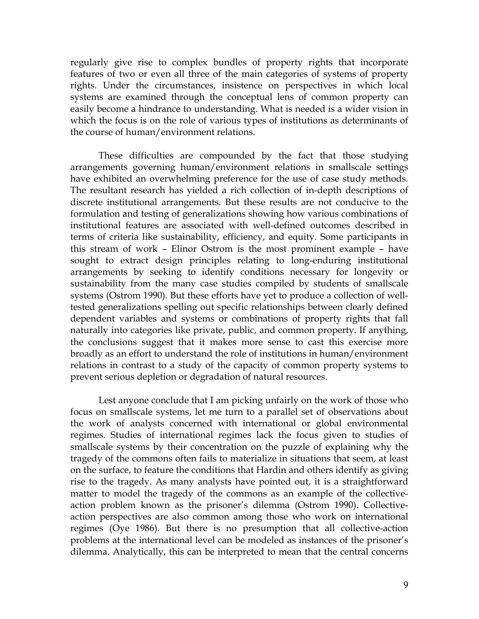regularly give rise to complex bundles of property rights that incorporate features of two or even all three of the main categories of systems of property rights. Under the circumstances, insistence on perspectives in which local systems are examined through the conceptual lens of common property can easily become a hindrance to understanding. What is needed is a wider vision in which the focus is on the role of various types of institutions as determinants of the course of human/environment relations.

These difficulties are compounded by the fact that those studying arrangements governing human/environment relations in smallscale settings have exhibited an overwhelming preference for the use of case study methods. The resultant research has yielded a rich collection of in-depth descriptions of discrete institutional arrangements. But these results are not conducive to the formulation and testing of generalizations showing how various combinations of institutional features are associated with well-defined outcomes described in terms of criteria like sustainability, efficiency, and equity. Some participants in this stream of work – Elinor Ostrom is the most prominent example – have sought to extract design principles relating to long-enduring institutional arrangements by seeking to identify conditions necessary for longevity or sustainability from the many case studies compiled by students of smallscale systems (Ostrom 1990). But these efforts have yet to produce a collection of welltested generalizations spelling out specific relationships between clearly defined dependent variables and systems or combinations of property rights that fall naturally into categories like private, public, and common property. If anything, the conclusions suggest that it makes more sense to cast this exercise more broadly as an effort to understand the role of institutions in human/environment relations in contrast to a study of the capacity of common property systems to prevent serious depletion or degradation of natural resources.

Lest anyone conclude that I am picking unfairly on the work of those who focus on smallscale systems, let me turn to a parallel set of observations about the work of analysts concerned with international or global environmental regimes. Studies of international regimes lack the focus given to studies of smallscale systems by their concentration on the puzzle of explaining why the tragedy of the commons often fails to materialize in situations that seem, at least on the surface, to feature the conditions that Hardin and others identify as giving rise to the tragedy. As many analysts have pointed out, it is a straightforward matter to model the tragedy of the commons as an example of the collectiveaction problem known as the prisoner's dilemma (Ostrom 1990). Collectiveaction perspectives are also common among those who work on international regimes (Oye 1986). But there is no presumption that all collective-action problems at the international level can be modeled as instances of the prisoner's dilemma. Analytically, this can be interpreted to mean that the central concerns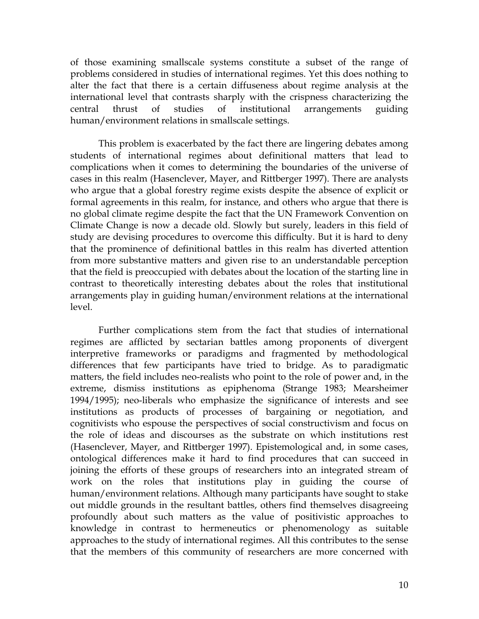of those examining smallscale systems constitute a subset of the range of problems considered in studies of international regimes. Yet this does nothing to alter the fact that there is a certain diffuseness about regime analysis at the international level that contrasts sharply with the crispness characterizing the central thrust of studies of institutional arrangements guiding human/environment relations in smallscale settings.

This problem is exacerbated by the fact there are lingering debates among students of international regimes about definitional matters that lead to complications when it comes to determining the boundaries of the universe of cases in this realm (Hasenclever, Mayer, and Rittberger 1997). There are analysts who argue that a global forestry regime exists despite the absence of explicit or formal agreements in this realm, for instance, and others who argue that there is no global climate regime despite the fact that the UN Framework Convention on Climate Change is now a decade old. Slowly but surely, leaders in this field of study are devising procedures to overcome this difficulty. But it is hard to deny that the prominence of definitional battles in this realm has diverted attention from more substantive matters and given rise to an understandable perception that the field is preoccupied with debates about the location of the starting line in contrast to theoretically interesting debates about the roles that institutional arrangements play in guiding human/environment relations at the international level.

Further complications stem from the fact that studies of international regimes are afflicted by sectarian battles among proponents of divergent interpretive frameworks or paradigms and fragmented by methodological differences that few participants have tried to bridge. As to paradigmatic matters, the field includes neo-realists who point to the role of power and, in the extreme, dismiss institutions as epiphenoma (Strange 1983; Mearsheimer 1994/1995); neo-liberals who emphasize the significance of interests and see institutions as products of processes of bargaining or negotiation, and cognitivists who espouse the perspectives of social constructivism and focus on the role of ideas and discourses as the substrate on which institutions rest (Hasenclever, Mayer, and Rittberger 1997). Epistemological and, in some cases, ontological differences make it hard to find procedures that can succeed in joining the efforts of these groups of researchers into an integrated stream of work on the roles that institutions play in guiding the course of human/environment relations. Although many participants have sought to stake out middle grounds in the resultant battles, others find themselves disagreeing profoundly about such matters as the value of positivistic approaches to knowledge in contrast to hermeneutics or phenomenology as suitable approaches to the study of international regimes. All this contributes to the sense that the members of this community of researchers are more concerned with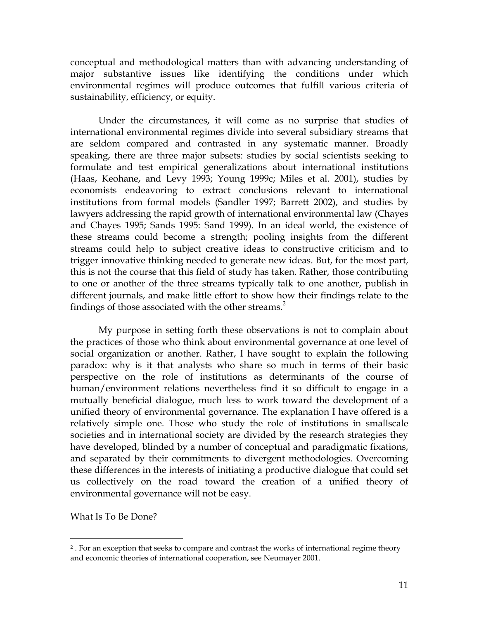conceptual and methodological matters than with advancing understanding of major substantive issues like identifying the conditions under which environmental regimes will produce outcomes that fulfill various criteria of sustainability, efficiency, or equity.

Under the circumstances, it will come as no surprise that studies of international environmental regimes divide into several subsidiary streams that are seldom compared and contrasted in any systematic manner. Broadly speaking, there are three major subsets: studies by social scientists seeking to formulate and test empirical generalizations about international institutions (Haas, Keohane, and Levy 1993; Young 1999c; Miles et al. 2001), studies by economists endeavoring to extract conclusions relevant to international institutions from formal models (Sandler 1997; Barrett 2002), and studies by lawyers addressing the rapid growth of international environmental law (Chayes and Chayes 1995; Sands 1995: Sand 1999). In an ideal world, the existence of these streams could become a strength; pooling insights from the different streams could help to subject creative ideas to constructive criticism and to trigger innovative thinking needed to generate new ideas. But, for the most part, this is not the course that this field of study has taken. Rather, those contributing to one or another of the three streams typically talk to one another, publish in different journals, and make little effort to show how their findings relate to the findings of those associated with the other streams.<sup>[2](#page-10-0)</sup>

My purpose in setting forth these observations is not to complain about the practices of those who think about environmental governance at one level of social organization or another. Rather, I have sought to explain the following paradox: why is it that analysts who share so much in terms of their basic perspective on the role of institutions as determinants of the course of human/environment relations nevertheless find it so difficult to engage in a mutually beneficial dialogue, much less to work toward the development of a unified theory of environmental governance. The explanation I have offered is a relatively simple one. Those who study the role of institutions in smallscale societies and in international society are divided by the research strategies they have developed, blinded by a number of conceptual and paradigmatic fixations, and separated by their commitments to divergent methodologies. Overcoming these differences in the interests of initiating a productive dialogue that could set us collectively on the road toward the creation of a unified theory of environmental governance will not be easy.

What Is To Be Done?

 $\overline{a}$ 

<span id="page-10-0"></span><sup>2 .</sup> For an exception that seeks to compare and contrast the works of international regime theory and economic theories of international cooperation, see Neumayer 2001.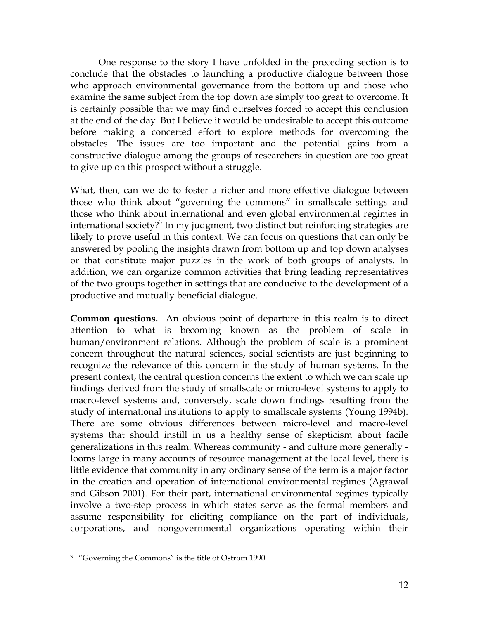One response to the story I have unfolded in the preceding section is to conclude that the obstacles to launching a productive dialogue between those who approach environmental governance from the bottom up and those who examine the same subject from the top down are simply too great to overcome. It is certainly possible that we may find ourselves forced to accept this conclusion at the end of the day. But I believe it would be undesirable to accept this outcome before making a concerted effort to explore methods for overcoming the obstacles. The issues are too important and the potential gains from a constructive dialogue among the groups of researchers in question are too great to give up on this prospect without a struggle.

What, then, can we do to foster a richer and more effective dialogue between those who think about "governing the commons" in smallscale settings and those who think about international and even global environmental regimes in international society?<sup>3</sup> [I](#page-11-0)n my judgment, two distinct but reinforcing strategies are likely to prove useful in this context. We can focus on questions that can only be answered by pooling the insights drawn from bottom up and top down analyses or that constitute major puzzles in the work of both groups of analysts. In addition, we can organize common activities that bring leading representatives of the two groups together in settings that are conducive to the development of a productive and mutually beneficial dialogue.

**Common questions.** An obvious point of departure in this realm is to direct attention to what is becoming known as the problem of scale in human/environment relations. Although the problem of scale is a prominent concern throughout the natural sciences, social scientists are just beginning to recognize the relevance of this concern in the study of human systems. In the present context, the central question concerns the extent to which we can scale up findings derived from the study of smallscale or micro-level systems to apply to macro-level systems and, conversely, scale down findings resulting from the study of international institutions to apply to smallscale systems (Young 1994b). There are some obvious differences between micro-level and macro-level systems that should instill in us a healthy sense of skepticism about facile generalizations in this realm. Whereas community - and culture more generally looms large in many accounts of resource management at the local level, there is little evidence that community in any ordinary sense of the term is a major factor in the creation and operation of international environmental regimes (Agrawal and Gibson 2001). For their part, international environmental regimes typically involve a two-step process in which states serve as the formal members and assume responsibility for eliciting compliance on the part of individuals, corporations, and nongovernmental organizations operating within their

 $\overline{a}$ 

<span id="page-11-0"></span><sup>3 . &</sup>quot;Governing the Commons" is the title of Ostrom 1990.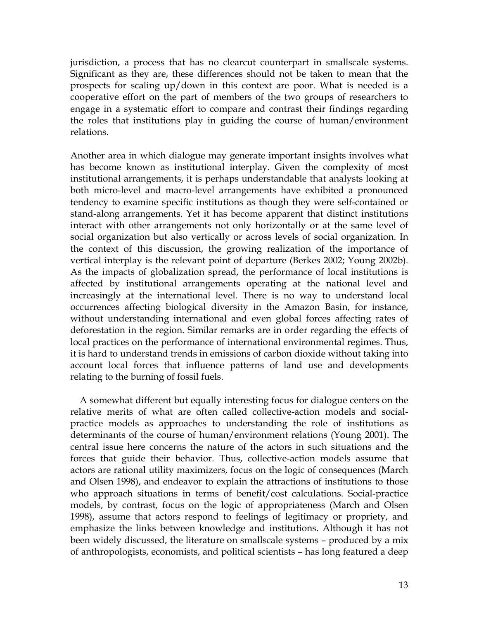jurisdiction, a process that has no clearcut counterpart in smallscale systems. Significant as they are, these differences should not be taken to mean that the prospects for scaling up/down in this context are poor. What is needed is a cooperative effort on the part of members of the two groups of researchers to engage in a systematic effort to compare and contrast their findings regarding the roles that institutions play in guiding the course of human/environment relations.

Another area in which dialogue may generate important insights involves what has become known as institutional interplay. Given the complexity of most institutional arrangements, it is perhaps understandable that analysts looking at both micro-level and macro-level arrangements have exhibited a pronounced tendency to examine specific institutions as though they were self-contained or stand-along arrangements. Yet it has become apparent that distinct institutions interact with other arrangements not only horizontally or at the same level of social organization but also vertically or across levels of social organization. In the context of this discussion, the growing realization of the importance of vertical interplay is the relevant point of departure (Berkes 2002; Young 2002b). As the impacts of globalization spread, the performance of local institutions is affected by institutional arrangements operating at the national level and increasingly at the international level. There is no way to understand local occurrences affecting biological diversity in the Amazon Basin, for instance, without understanding international and even global forces affecting rates of deforestation in the region. Similar remarks are in order regarding the effects of local practices on the performance of international environmental regimes. Thus, it is hard to understand trends in emissions of carbon dioxide without taking into account local forces that influence patterns of land use and developments relating to the burning of fossil fuels.

A somewhat different but equally interesting focus for dialogue centers on the relative merits of what are often called collective-action models and socialpractice models as approaches to understanding the role of institutions as determinants of the course of human/environment relations (Young 2001). The central issue here concerns the nature of the actors in such situations and the forces that guide their behavior. Thus, collective-action models assume that actors are rational utility maximizers, focus on the logic of consequences (March and Olsen 1998), and endeavor to explain the attractions of institutions to those who approach situations in terms of benefit/cost calculations. Social-practice models, by contrast, focus on the logic of appropriateness (March and Olsen 1998), assume that actors respond to feelings of legitimacy or propriety, and emphasize the links between knowledge and institutions. Although it has not been widely discussed, the literature on smallscale systems – produced by a mix of anthropologists, economists, and political scientists – has long featured a deep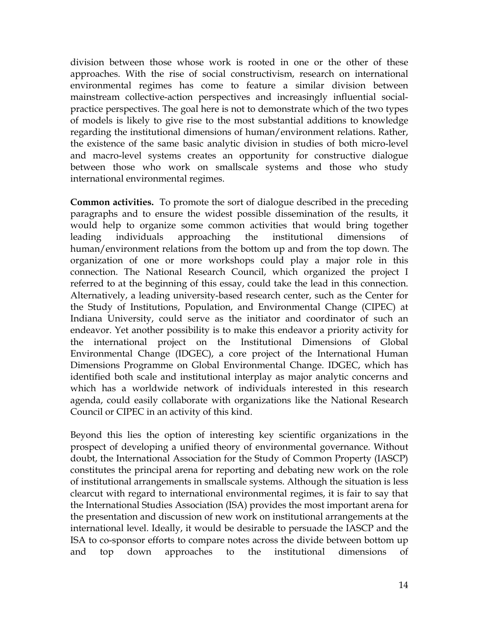division between those whose work is rooted in one or the other of these approaches. With the rise of social constructivism, research on international environmental regimes has come to feature a similar division between mainstream collective-action perspectives and increasingly influential socialpractice perspectives. The goal here is not to demonstrate which of the two types of models is likely to give rise to the most substantial additions to knowledge regarding the institutional dimensions of human/environment relations. Rather, the existence of the same basic analytic division in studies of both micro-level and macro-level systems creates an opportunity for constructive dialogue between those who work on smallscale systems and those who study international environmental regimes.

**Common activities.** To promote the sort of dialogue described in the preceding paragraphs and to ensure the widest possible dissemination of the results, it would help to organize some common activities that would bring together leading individuals approaching the institutional dimensions of human/environment relations from the bottom up and from the top down. The organization of one or more workshops could play a major role in this connection. The National Research Council, which organized the project I referred to at the beginning of this essay, could take the lead in this connection. Alternatively, a leading university-based research center, such as the Center for the Study of Institutions, Population, and Environmental Change (CIPEC) at Indiana University, could serve as the initiator and coordinator of such an endeavor. Yet another possibility is to make this endeavor a priority activity for the international project on the Institutional Dimensions of Global Environmental Change (IDGEC), a core project of the International Human Dimensions Programme on Global Environmental Change. IDGEC, which has identified both scale and institutional interplay as major analytic concerns and which has a worldwide network of individuals interested in this research agenda, could easily collaborate with organizations like the National Research Council or CIPEC in an activity of this kind.

Beyond this lies the option of interesting key scientific organizations in the prospect of developing a unified theory of environmental governance. Without doubt, the International Association for the Study of Common Property (IASCP) constitutes the principal arena for reporting and debating new work on the role of institutional arrangements in smallscale systems. Although the situation is less clearcut with regard to international environmental regimes, it is fair to say that the International Studies Association (ISA) provides the most important arena for the presentation and discussion of new work on institutional arrangements at the international level. Ideally, it would be desirable to persuade the IASCP and the ISA to co-sponsor efforts to compare notes across the divide between bottom up and top down approaches to the institutional dimensions of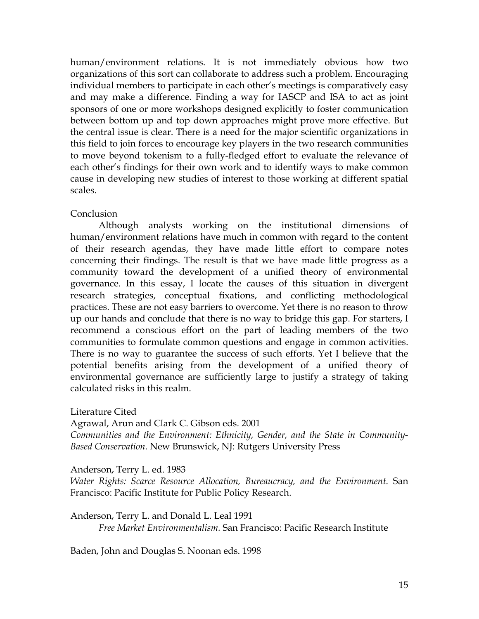human/environment relations. It is not immediately obvious how two organizations of this sort can collaborate to address such a problem. Encouraging individual members to participate in each other's meetings is comparatively easy and may make a difference. Finding a way for IASCP and ISA to act as joint sponsors of one or more workshops designed explicitly to foster communication between bottom up and top down approaches might prove more effective. But the central issue is clear. There is a need for the major scientific organizations in this field to join forces to encourage key players in the two research communities to move beyond tokenism to a fully-fledged effort to evaluate the relevance of each other's findings for their own work and to identify ways to make common cause in developing new studies of interest to those working at different spatial scales.

# Conclusion

Although analysts working on the institutional dimensions of human/environment relations have much in common with regard to the content of their research agendas, they have made little effort to compare notes concerning their findings. The result is that we have made little progress as a community toward the development of a unified theory of environmental governance. In this essay, I locate the causes of this situation in divergent research strategies, conceptual fixations, and conflicting methodological practices. These are not easy barriers to overcome. Yet there is no reason to throw up our hands and conclude that there is no way to bridge this gap. For starters, I recommend a conscious effort on the part of leading members of the two communities to formulate common questions and engage in common activities. There is no way to guarantee the success of such efforts. Yet I believe that the potential benefits arising from the development of a unified theory of environmental governance are sufficiently large to justify a strategy of taking calculated risks in this realm.

Literature Cited

Agrawal, Arun and Clark C. Gibson eds. 2001 *Communities and the Environment: Ethnicity, Gender, and the State in Community-Based Conservation.* New Brunswick, NJ: Rutgers University Press

Anderson, Terry L. ed. 1983

*Water Rights: Scarce Resource Allocation, Bureaucracy, and the Environment. San* Francisco: Pacific Institute for Public Policy Research.

Anderson, Terry L. and Donald L. Leal 1991 *Free Market Environmentalism.* San Francisco: Pacific Research Institute

Baden, John and Douglas S. Noonan eds. 1998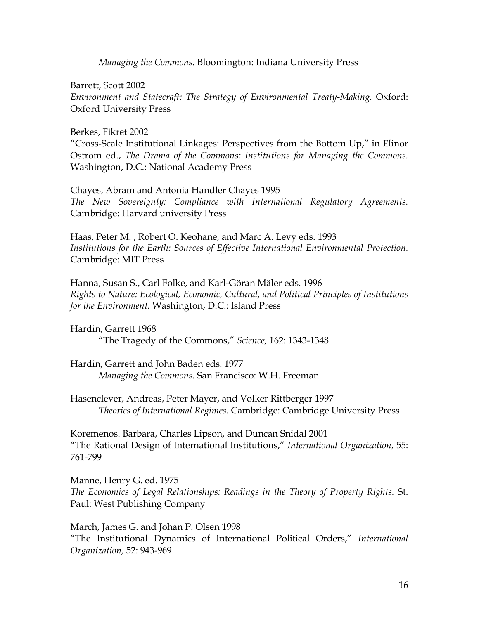*Managing the Commons.* Bloomington: Indiana University Press

Barrett, Scott 2002 *Environment and Statecraft: The Strategy of Environmental Treaty-Making.* Oxford: Oxford University Press

Berkes, Fikret 2002

"Cross-Scale Institutional Linkages: Perspectives from the Bottom Up," in Elinor Ostrom ed., *The Drama of the Commons: Institutions for Managing the Commons.*  Washington, D.C.: National Academy Press

Chayes, Abram and Antonia Handler Chayes 1995 *The New Sovereignty: Compliance with International Regulatory Agreements.*  Cambridge: Harvard university Press

Haas, Peter M. , Robert O. Keohane, and Marc A. Levy eds. 1993 *Institutions for the Earth: Sources of Effective International Environmental Protection.*  Cambridge: MIT Press

Hanna, Susan S., Carl Folke, and Karl-Göran Mäler eds. 1996 *Rights to Nature: Ecological, Economic, Cultural, and Political Principles of Institutions for the Environment.* Washington, D.C.: Island Press

Hardin, Garrett 1968 "The Tragedy of the Commons," *Science,* 162: 1343-1348

Hardin, Garrett and John Baden eds. 1977 *Managing the Commons.* San Francisco: W.H. Freeman

Hasenclever, Andreas, Peter Mayer, and Volker Rittberger 1997 *Theories of International Regimes.* Cambridge: Cambridge University Press

Koremenos. Barbara, Charles Lipson, and Duncan Snidal 2001 "The Rational Design of International Institutions," *International Organization,* 55: 761-799

Manne, Henry G. ed. 1975 *The Economics of Legal Relationships: Readings in the Theory of Property Rights. St.* Paul: West Publishing Company

March, James G. and Johan P. Olsen 1998 "The Institutional Dynamics of International Political Orders," *International Organization,* 52: 943-969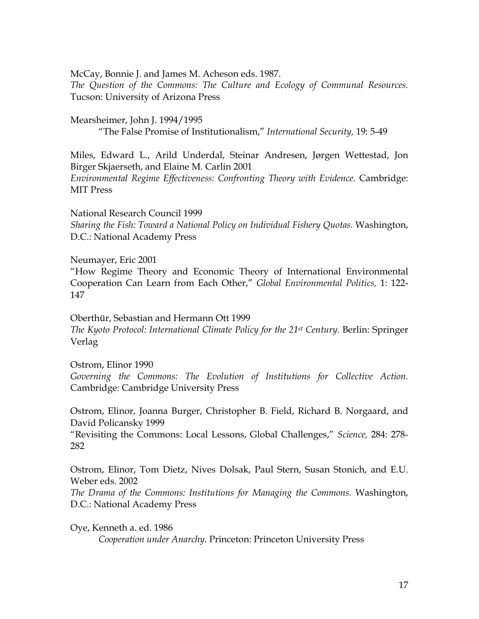McCay, Bonnie J. and James M. Acheson eds. 1987. *The Question of the Commons: The Culture and Ecology of Communal Resources.*  Tucson: University of Arizona Press

#### Mearsheimer, John J. 1994/1995

"The False Promise of Institutionalism," *International Security,* 19: 5-49

Miles, Edward L., Arild Underdal, Steinar Andresen, Jørgen Wettestad, Jon Birger Skjaerseth, and Elaine M. Carlin 2001 *Environmental Regime Effectiveness: Confronting Theory with Evidence.* Cambridge:

MIT Press

National Research Council 1999 *Sharing the Fish: Toward a National Policy on Individual Fishery Quotas.* Washington, D.C.: National Academy Press

Neumayer, Eric 2001

"How Regime Theory and Economic Theory of International Environmental Cooperation Can Learn from Each Other," *Global Environmental Politics,* 1: 122- 147

Oberthür, Sebastian and Hermann Ott 1999 *The Kyoto Protocol: International Climate Policy for the 21<sup>st</sup> Century. Berlin: Springer* Verlag

Ostrom, Elinor 1990 *Governing the Commons: The Evolution of Institutions for Collective Action.*  Cambridge: Cambridge University Press

Ostrom, Elinor, Joanna Burger, Christopher B. Field, Richard B. Norgaard, and David Policansky 1999

"Revisiting the Commons: Local Lessons, Global Challenges," *Science,* 284: 278- 282

Ostrom, Elinor, Tom Dietz, Nives Dolsak, Paul Stern, Susan Stonich, and E.U. Weber eds. 2002

*The Drama of the Commons: Institutions for Managing the Commons.* Washington, D.C.: National Academy Press

Oye, Kenneth a. ed. 1986 *Cooperation under Anarchy.* Princeton: Princeton University Press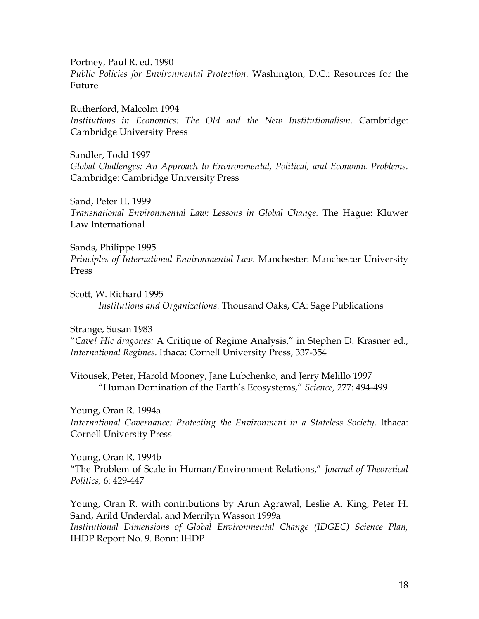Portney, Paul R. ed. 1990 *Public Policies for Environmental Protection.* Washington, D.C.: Resources for the Future

Rutherford, Malcolm 1994 *Institutions in Economics: The Old and the New Institutionalism.* Cambridge: Cambridge University Press

Sandler, Todd 1997 *Global Challenges: An Approach to Environmental, Political, and Economic Problems.*  Cambridge: Cambridge University Press

Sand, Peter H. 1999 *Transnational Environmental Law: Lessons in Global Change.* The Hague: Kluwer Law International

Sands, Philippe 1995 *Principles of International Environmental Law.* Manchester: Manchester University Press

Scott, W. Richard 1995 *Institutions and Organizations.* Thousand Oaks, CA: Sage Publications

Strange, Susan 1983

"*Cave! Hic dragones:* A Critique of Regime Analysis," in Stephen D. Krasner ed., *International Regimes.* Ithaca: Cornell University Press, 337-354

Vitousek, Peter, Harold Mooney, Jane Lubchenko, and Jerry Melillo 1997 "Human Domination of the Earth's Ecosystems," *Science,* 277: 494-499

Young, Oran R. 1994a International Governance: Protecting the Environment in a Stateless Society. Ithaca: Cornell University Press

Young, Oran R. 1994b "The Problem of Scale in Human/Environment Relations," *Journal of Theoretical Politics,* 6: 429-447

Young, Oran R. with contributions by Arun Agrawal, Leslie A. King, Peter H. Sand, Arild Underdal, and Merrilyn Wasson 1999a *Institutional Dimensions of Global Environmental Change (IDGEC) Science Plan,*  IHDP Report No. 9. Bonn: IHDP